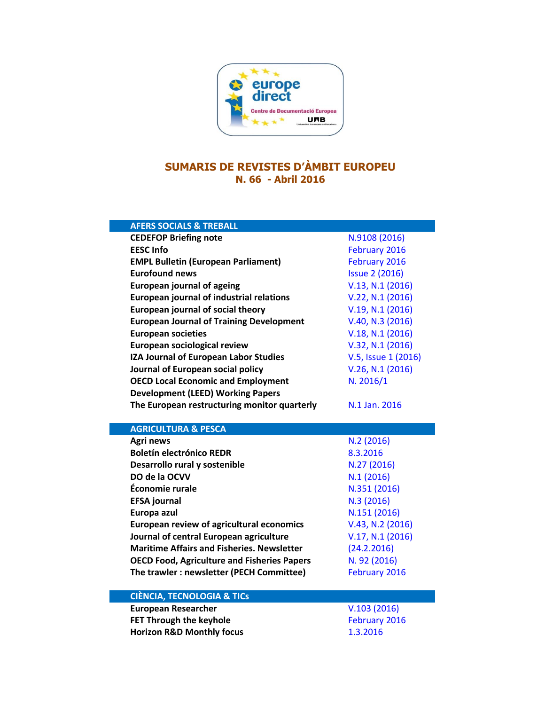

## **SUMARIS DE REVISTES D'ÀMBIT EUROPEU N. 66 - Abril 2016**

| <b>AFERS SOCIALS &amp; TREBALL</b>                              |                           |
|-----------------------------------------------------------------|---------------------------|
| <b>CEDEFOP Briefing note</b>                                    | N.9108 (2016)             |
| <b>EESC Info</b>                                                | February 2016             |
| <b>EMPL Bulletin (European Parliament)</b>                      | February 2016             |
| <b>Eurofound news</b>                                           | <b>Issue 2 (2016)</b>     |
| <b>European journal of ageing</b>                               | V.13, N.1 (2016)          |
| <b>European journal of industrial relations</b>                 | V.22, N.1 (2016)          |
| <b>European journal of social theory</b>                        | V.19, N.1 (2016)          |
| <b>European Journal of Training Development</b>                 | V.40, N.3 (2016)          |
| <b>European societies</b>                                       | V.18, N.1 (2016)          |
| <b>European sociological review</b>                             | V.32, N.1 (2016)          |
| IZA Journal of European Labor Studies                           | V.5, Issue 1 (2016)       |
| Journal of European social policy                               | V.26, N.1 (2016)          |
| <b>OECD Local Economic and Employment</b>                       | N. 2016/1                 |
| <b>Development (LEED) Working Papers</b>                        |                           |
| The European restructuring monitor quarterly                    | N.1 Jan. 2016             |
|                                                                 |                           |
| <b>AGRICULTURA &amp; PESCA</b>                                  |                           |
|                                                                 |                           |
| <b>Agri news</b>                                                | N.2(2016)                 |
| <b>Boletín electrónico REDR</b>                                 | 8.3.2016                  |
| Desarrollo rural y sostenible                                   | N.27 (2016)               |
| DO de la OCVV                                                   | N.1(2016)                 |
| Économie rurale                                                 | N.351 (2016)              |
| <b>EFSA journal</b>                                             | N.3 (2016)                |
| Europa azul                                                     | N.151 (2016)              |
| <b>European review of agricultural economics</b>                | V.43, N.2 (2016)          |
| Journal of central European agriculture                         | V.17, N.1 (2016)          |
| <b>Maritime Affairs and Fisheries. Newsletter</b>               | (24.2.2016)               |
| <b>OECD Food, Agriculture and Fisheries Papers</b>              | N. 92 (2016)              |
| The trawler : newsletter (PECH Committee)                       | February 2016             |
|                                                                 |                           |
| <b>CIÈNCIA, TECNOLOGIA &amp; TICS</b>                           |                           |
| <b>European Researcher</b>                                      | V.103(2016)               |
| FET Through the keyhole<br><b>Horizon R&amp;D Monthly focus</b> | February 2016<br>1.3.2016 |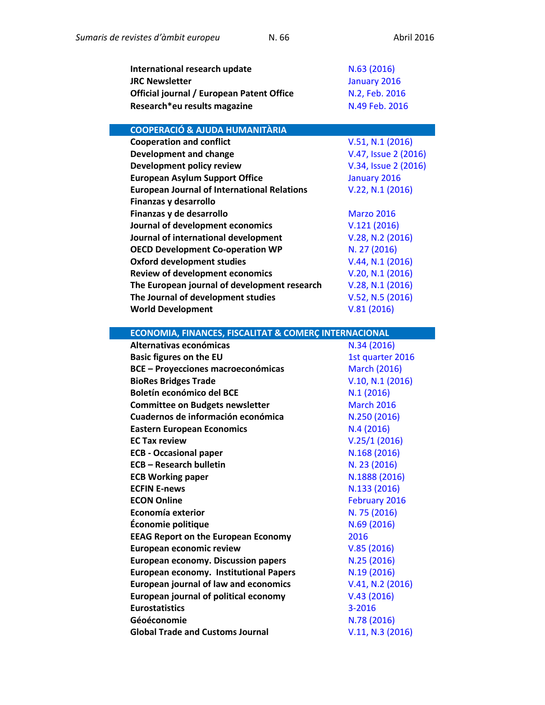| International research update                      | N.63(2016)           |
|----------------------------------------------------|----------------------|
| <b>JRC Newsletter</b>                              | January 2016         |
| Official journal / European Patent Office          | N.2, Feb. 2016       |
| Research*eu results magazine                       | N.49 Feb. 2016       |
|                                                    |                      |
| <b>COOPERACIÓ &amp; AJUDA HUMANITÀRIA</b>          |                      |
| <b>Cooperation and conflict</b>                    | V.51, N.1 (2016)     |
| <b>Development and change</b>                      | V.47, Issue 2 (2016) |
| Development policy review                          | V.34, Issue 2 (2016) |
| <b>European Asylum Support Office</b>              | January 2016         |
| <b>European Journal of International Relations</b> | V.22, N.1 (2016)     |
| Finanzas y desarrollo                              |                      |
| Finanzas y de desarrollo                           | <b>Marzo 2016</b>    |
| Journal of development economics                   | V.121(2016)          |
| Journal of international development               | V.28, N.2 (2016)     |
| <b>OECD Development Co-operation WP</b>            | N. 27 (2016)         |
| <b>Oxford development studies</b>                  | V.44, N.1 (2016)     |
| <b>Review of development economics</b>             | V.20, N.1 (2016)     |
| The European journal of development research       | V.28, N.1 (2016)     |
| The Journal of development studies                 | V.52, N.5 (2016)     |
| <b>World Development</b>                           | V.81(2016)           |

| <b>ECONOMIA, FINANCES, FISCALITAT &amp; COMERÇ INTERNACIONAL</b> |                     |
|------------------------------------------------------------------|---------------------|
| Alternativas económicas                                          | N.34 (2016)         |
| <b>Basic figures on the EU</b>                                   | 1st quarter 2016    |
| <b>BCE - Proyecciones macroeconómicas</b>                        | <b>March (2016)</b> |
| <b>BioRes Bridges Trade</b>                                      | V.10, N.1 (2016)    |
| Boletín económico del BCE                                        | N.1(2016)           |
| <b>Committee on Budgets newsletter</b>                           | <b>March 2016</b>   |
| Cuadernos de información económica                               | N.250 (2016)        |
| <b>Eastern European Economics</b>                                | N.4(2016)           |
| <b>EC Tax review</b>                                             | V.25/1(2016)        |
| <b>ECB - Occasional paper</b>                                    | N.168 (2016)        |
| <b>ECB - Research bulletin</b>                                   | N. 23 (2016)        |
| <b>ECB Working paper</b>                                         | N.1888 (2016)       |
| <b>ECFIN E-news</b>                                              | N.133 (2016)        |
| <b>ECON Online</b>                                               | February 2016       |
| Economía exterior                                                | N. 75 (2016)        |
| Économie politique                                               | N.69 (2016)         |
| <b>EEAG Report on the European Economy</b>                       | 2016                |
| European economic review                                         | V.85(2016)          |
| <b>European economy. Discussion papers</b>                       | N.25 (2016)         |
| <b>European economy. Institutional Papers</b>                    | N.19 (2016)         |
| <b>European journal of law and economics</b>                     | V.41, N.2 (2016)    |
| <b>European journal of political economy</b>                     | V.43(2016)          |
| <b>Eurostatistics</b>                                            | 3-2016              |
| Géoéconomie                                                      | N.78 (2016)         |
| <b>Global Trade and Customs Journal</b>                          | V.11, N.3 (2016)    |
|                                                                  |                     |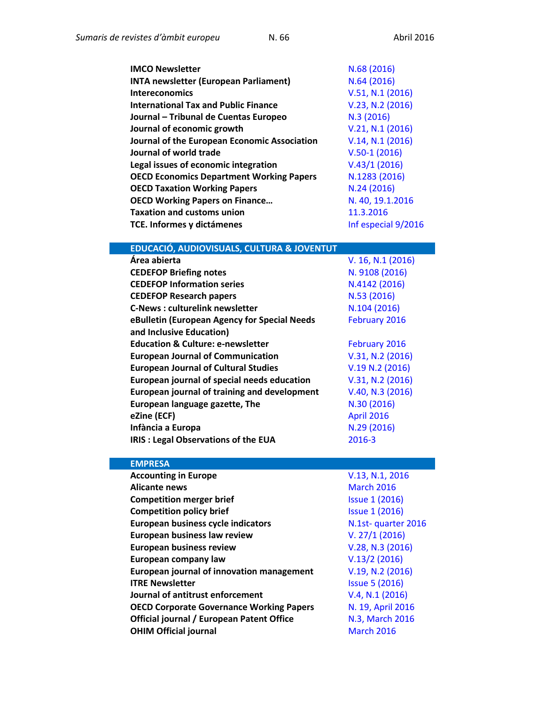| <b>IMCO Newsletter</b>                          | N.68 (2016)         |
|-------------------------------------------------|---------------------|
| <b>INTA newsletter (European Parliament)</b>    | N.64(2016)          |
| <b>Intereconomics</b>                           | V.51, N.1 (2016)    |
| <b>International Tax and Public Finance</b>     | V.23, N.2 (2016)    |
| Journal - Tribunal de Cuentas Europeo           | N.3(2016)           |
| Journal of economic growth                      | V.21, N.1 (2016)    |
| Journal of the European Economic Association    | V.14, N.1 (2016)    |
| Journal of world trade                          | $V.50-1(2016)$      |
| Legal issues of economic integration            | V.43/1(2016)        |
| <b>OECD Economics Department Working Papers</b> | N.1283 (2016)       |
| <b>OECD Taxation Working Papers</b>             | N.24(2016)          |
| <b>OECD Working Papers on Finance</b>           | N. 40, 19.1.2016    |
| <b>Taxation and customs union</b>               | 11.3.2016           |
| TCE. Informes y dictámenes                      | Inf especial 9/2016 |

## **EDUCACIÓ, AUDIOVISUALS, CULTURA & JOVENTUT**

| Área abierta                                        | V. 16, N.1 (2016) |
|-----------------------------------------------------|-------------------|
| <b>CEDEFOP Briefing notes</b>                       | N. 9108 (2016)    |
| <b>CEDEFOP Information series</b>                   | N.4142 (2016)     |
| <b>CEDEFOP Research papers</b>                      | N.53 (2016)       |
| <b>C-News: culturelink newsletter</b>               | N.104 (2016)      |
| eBulletin (European Agency for Special Needs        | February 2016     |
| and Inclusive Education)                            |                   |
| <b>Education &amp; Culture: e-newsletter</b>        | February 2016     |
| <b>European Journal of Communication</b>            | V.31, N.2 (2016)  |
| <b>European Journal of Cultural Studies</b>         | V.19 N.2 (2016)   |
| European journal of special needs education         | V.31, N.2 (2016)  |
| <b>European journal of training and development</b> | V.40, N.3 (2016)  |
| European language gazette, The                      | N.30 (2016)       |
| eZine (ECF)                                         | <b>April 2016</b> |
| Infància a Europa                                   | N.29 (2016)       |
| <b>IRIS: Legal Observations of the EUA</b>          | 2016-3            |
|                                                     |                   |

## **EMPRESA**

| <b>Accounting in Europe</b>                      | V.13, N.1, 2016       |
|--------------------------------------------------|-----------------------|
| <b>Alicante news</b>                             | <b>March 2016</b>     |
| <b>Competition merger brief</b>                  | <b>Issue 1 (2016)</b> |
| <b>Competition policy brief</b>                  | <b>Issue 1 (2016)</b> |
| <b>European business cycle indicators</b>        | N.1st-quarter 2016    |
| European business law review                     | V. 27/1 (2016)        |
| <b>European business review</b>                  | V.28, N.3 (2016)      |
| European company law                             | V.13/2(2016)          |
| European journal of innovation management        | V.19, N.2 (2016)      |
| <b>ITRE Newsletter</b>                           | <b>Issue 5 (2016)</b> |
| Journal of antitrust enforcement                 | V.4, N.1 (2016)       |
| <b>OECD Corporate Governance Working Papers</b>  | N. 19, April 2016     |
| <b>Official journal / European Patent Office</b> | N.3, March 2016       |
| <b>OHIM Official journal</b>                     | <b>March 2016</b>     |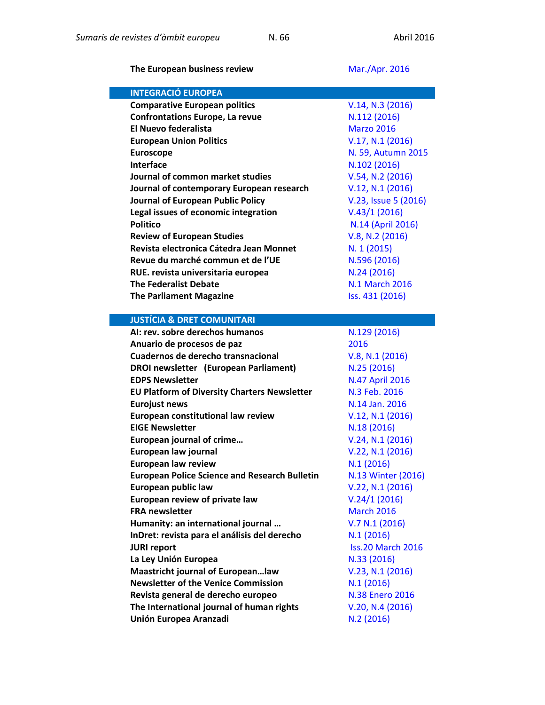**The European business review [Mar./Apr.](http://www.exacteditions.com/browse/20972/21852) 2016** 

| <b>INTEGRACIÓ EUROPEA</b>                                                       |                               |
|---------------------------------------------------------------------------------|-------------------------------|
| <b>Comparative European politics</b>                                            | V.14, N.3 (2016)              |
| <b>Confrontations Europe, La revue</b>                                          | N.112 (2016)                  |
| <b>El Nuevo federalista</b>                                                     | <b>Marzo 2016</b>             |
| <b>European Union Politics</b>                                                  | V.17, N.1 (2016)              |
| <b>Euroscope</b>                                                                | N. 59, Autumn 2015            |
| <b>Interface</b>                                                                | N.102 (2016)                  |
| Journal of common market studies                                                | V.54, N.2 (2016)              |
| Journal of contemporary European research                                       | V.12, N.1 (2016)              |
| Journal of European Public Policy                                               | V.23, Issue 5 (2016)          |
| Legal issues of economic integration                                            | V.43/1(2016)                  |
| <b>Politico</b>                                                                 | N.14 (April 2016)             |
| <b>Review of European Studies</b>                                               | V.8, N.2 (2016)               |
| Revista electronica Cátedra Jean Monnet                                         | N. 1 (2015)                   |
| Revue du marché commun et de l'UE                                               | N.596 (2016)                  |
| RUE. revista universitaria europea                                              | N.24(2016)                    |
| <b>The Federalist Debate</b>                                                    | <b>N.1 March 2016</b>         |
| <b>The Parliament Magazine</b>                                                  | Iss. 431 (2016)               |
|                                                                                 |                               |
| <b>JUSTÍCIA &amp; DRET COMUNITARI</b>                                           |                               |
| AI: rev. sobre derechos humanos                                                 | N.129 (2016)                  |
| Anuario de procesos de paz                                                      | 2016                          |
| Cuadernos de derecho transnacional                                              | V.8, N.1 (2016)               |
| <b>DROI newsletter (European Parliament)</b>                                    | N.25 (2016)                   |
| <b>EDPS Newsletter</b>                                                          | <b>N.47 April 2016</b>        |
| <b>EU Platform of Diversity Charters Newsletter</b>                             | N.3 Feb. 2016                 |
| <b>Eurojust news</b>                                                            |                               |
|                                                                                 | N.14 Jan. 2016                |
| European constitutional law review                                              | V.12, N.1 (2016)              |
| <b>EIGE Newsletter</b>                                                          | N.18 (2016)                   |
| <b>European journal of crime</b>                                                | V.24, N.1 (2016)              |
| European law journal                                                            | V.22, N.1 (2016)              |
| <b>European law review</b>                                                      | N.1(2016)                     |
| <b>European Police Science and Research Bulletin</b>                            | N.13 Winter (2016)            |
| European public law                                                             | V.22, N.1 (2016)              |
| European review of private law                                                  | V.24/1(2016)                  |
| <b>FRA newsletter</b>                                                           | <b>March 2016</b>             |
| Humanity: an international journal                                              | V.7 N.1 (2016)                |
| InDret: revista para el análisis del derecho                                    | N.1(2016)                     |
| <b>JURI report</b>                                                              | <b>Iss.20 March 2016</b>      |
| La Ley Unión Europea                                                            | N.33 (2016)                   |
| Maastricht journal of Europeanlaw<br><b>Newsletter of the Venice Commission</b> | V.23, N.1 (2016)<br>N.1(2016) |

**The International journal of human rights** [V.20, N.4](http://www.tandfonline.com/toc/fjhr20/current) (2016) **Unión Europea Aranzadi N.2 [\(2016\)](https://dialnet.unirioja.es/servlet/revista?codigo=1713)**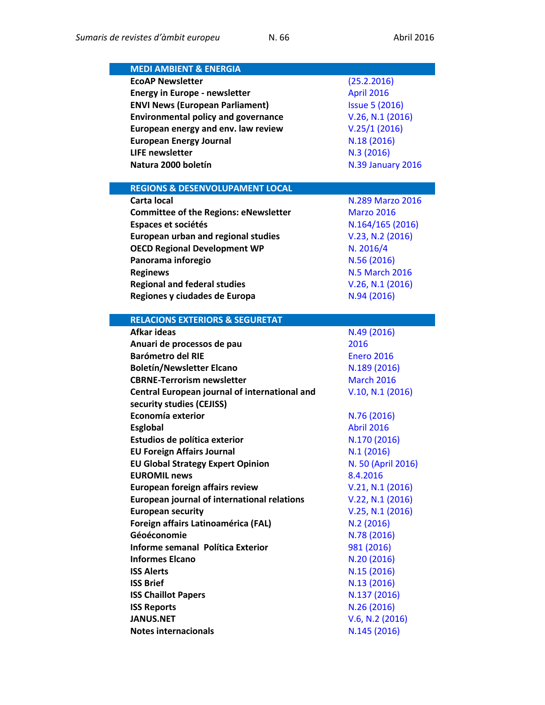| <b>MEDI AMBIENT &amp; ENERGIA</b>                  |                          |
|----------------------------------------------------|--------------------------|
| <b>EcoAP Newsletter</b>                            | (25.2.2016)              |
| <b>Energy in Europe - newsletter</b>               | April 2016               |
| <b>ENVI News (European Parliament)</b>             | <b>Issue 5 (2016)</b>    |
| <b>Environmental policy and governance</b>         | V.26, N.1 (2016)         |
| European energy and env. law review                | V.25/1(2016)             |
| <b>European Energy Journal</b>                     | N.18 (2016)              |
| <b>LIFE newsletter</b>                             | N.3(2016)                |
| Natura 2000 boletín                                | <b>N.39 January 2016</b> |
|                                                    |                          |
| <b>REGIONS &amp; DESENVOLUPAMENT LOCAL</b>         |                          |
| Carta local                                        | N.289 Marzo 2016         |
| <b>Committee of the Regions: eNewsletter</b>       | <b>Marzo 2016</b>        |
| Espaces et sociétés                                | N.164/165 (2016)         |
| <b>European urban and regional studies</b>         | V.23, N.2 (2016)         |
| <b>OECD Regional Development WP</b>                | N. 2016/4                |
| Panorama inforegio                                 | N.56 (2016)              |
| <b>Reginews</b>                                    | <b>N.5 March 2016</b>    |
| <b>Regional and federal studies</b>                | V.26, N.1 (2016)         |
| Regiones y ciudades de Europa                      | N.94 (2016)              |
|                                                    |                          |
| <b>RELACIONS EXTERIORS &amp; SEGURETAT</b>         |                          |
| <b>Afkar ideas</b>                                 | N.49 (2016)              |
| Anuari de processos de pau                         | 2016                     |
| <b>Barómetro del RIE</b>                           | <b>Enero 2016</b>        |
| <b>Boletín/Newsletter Elcano</b>                   | N.189 (2016)             |
| <b>CBRNE-Terrorism newsletter</b>                  | <b>March 2016</b>        |
| Central European journal of international and      | V.10, N.1 (2016)         |
| security studies (CEJISS)<br>Economía exterior     |                          |
|                                                    | N.76 (2016)              |
| <b>Esglobal</b>                                    | <b>Abril 2016</b>        |
| Estudios de política exterior                      | N.170 (2016)             |
| <b>EU Foreign Affairs Journal</b>                  | N.1(2016)                |
| <b>EU Global Strategy Expert Opinion</b>           | N. 50 (April 2016)       |
| <b>EUROMIL news</b>                                | 8.4.2016                 |
| <b>European foreign affairs review</b>             | V.21, N.1 (2016)         |
| <b>European journal of international relations</b> | V.22, N.1 (2016)         |
| <b>European security</b>                           | V.25, N.1 (2016)         |
| Foreign affairs Latinoamérica (FAL)<br>Géoéconomie | N.2(2016)<br>N.78 (2016) |
| Informe semanal Política Exterior                  |                          |
| <b>Informes Elcano</b>                             | 981 (2016)               |
|                                                    | N.20 (2016)              |
| <b>ISS Alerts</b>                                  | N.15 (2016)              |
| <b>ISS Brief</b>                                   | N.13 (2016)              |
| <b>ISS Chaillot Papers</b>                         | N.137 (2016)             |
| <b>ISS Reports</b>                                 | N.26 (2016)              |
| <b>JANUS.NET</b>                                   | V.6, N.2 (2016)          |
| <b>Notes internacionals</b>                        | N.145 (2016)             |